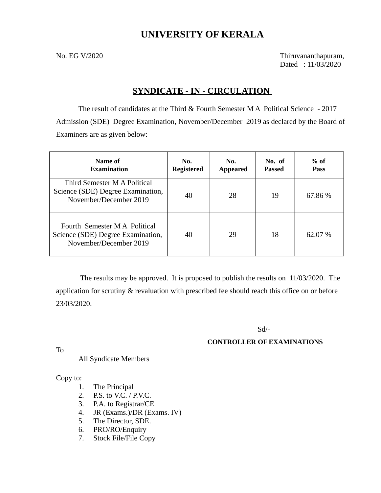# **UNIVERSITY OF KERALA**

No. EG V/2020 Thiruvananthapuram, Dated : 11/03/2020

# **SYNDICATE - IN - CIRCULATION**

The result of candidates at the Third & Fourth Semester M A Political Science - 2017 Admission (SDE) Degree Examination, November/December 2019 as declared by the Board of Examiners are as given below:

| Name of<br><b>Examination</b>                                                                | No.<br><b>Registered</b> | No.<br><b>Appeared</b> | No. of<br>Passed | $%$ of<br><b>Pass</b> |
|----------------------------------------------------------------------------------------------|--------------------------|------------------------|------------------|-----------------------|
| Third Semester M A Political<br>Science (SDE) Degree Examination,<br>November/December 2019  | 40                       | 28                     | 19               | 67.86 %               |
| Fourth Semester M A Political<br>Science (SDE) Degree Examination,<br>November/December 2019 | 40                       | 29                     | 18               | 62.07 %               |

 The results may be approved. It is proposed to publish the results on 11/03/2020. The application for scrutiny & revaluation with prescribed fee should reach this office on or before 23/03/2020.

### Sd/-

### **CONTROLLER OF EXAMINATIONS**

To

All Syndicate Members

Copy to:

- 1. The Principal
- 2. P.S. to V.C. / P.V.C.
- 3. P.A. to Registrar/CE
- 4. JR (Exams.)/DR (Exams. IV)
- 5. The Director, SDE.
- 6. PRO/RO/Enquiry
- 7. Stock File/File Copy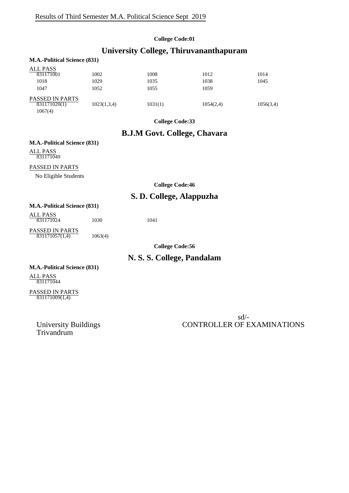#### **College Code:01**

# **University College, Thiruvananthapuram**

| <b>M.A.-Political Science (831)</b>               |             |         |           |           |
|---------------------------------------------------|-------------|---------|-----------|-----------|
| <b>ALL PASS</b><br>831171001                      | 1002        | 1008    | 1012      | 1014      |
| 1018                                              | 1029        | 1035    | 1038      | 1045      |
| 1047                                              | 1052        | 1055    | 1059      |           |
| <b>PASSED IN PARTS</b><br>831171020(1)<br>1067(4) | 1023(1,3,4) | 1031(1) | 1054(2,4) | 1056(3,4) |

**College Code:33**

# **B.J.M Govt. College, Chavara**

### **M.A.-Political Science (831)**

ALL PASS 831171049

#### PASSED IN PARTS

No Eligible Students

**College Code:46**

# **S. D. College, Alappuzha**

#### **M.A.-Political Science (831)**

ALL PASS PASSED IN PARTS 831171024 1030 1041

831171057(1,4) 1063(4)

**College Code:56**

# **N. S. S. College, Pandalam**

# **M.A.-Political Science (831)**

ALL PASS 831171044

#### PASSED IN PARTS 831171009(1,4)

Trivandrum

sd/- University Buildings CONTROLLER OF EXAMINATIONS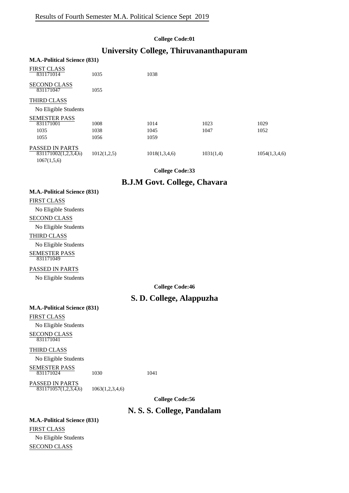#### **College Code:01**

# **University College, Thiruvananthapuram**

| <b>M.A.-Political Science (831)</b> |             |               |           |               |
|-------------------------------------|-------------|---------------|-----------|---------------|
| <b>FIRST CLASS</b><br>831171014     | 1035        | 1038          |           |               |
| <b>SECOND CLASS</b><br>831171047    | 1055        |               |           |               |
| <b>THIRD CLASS</b>                  |             |               |           |               |
| No Eligible Students                |             |               |           |               |
| <b>SEMESTER PASS</b>                |             |               |           |               |
| 831171001                           | 1008        | 1014          | 1023      | 1029          |
| 1035                                | 1038        | 1045          | 1047      | 1052          |
| 1055                                | 1056        | 1059          |           |               |
| <b>PASSED IN PARTS</b>              |             |               |           |               |
| 831171002(1,2,3,4,6)                | 1012(1,2,5) | 1018(1,3,4,6) | 1031(1,4) | 1054(1,3,4,6) |
| 1067(1,5,6)                         |             |               |           |               |

**College Code:33**

### **B.J.M Govt. College, Chavara**

| <b>FIRST CLASS</b> |                                                                                                                                                                                                                                                                                                                                    |  |  |  |  |  |
|--------------------|------------------------------------------------------------------------------------------------------------------------------------------------------------------------------------------------------------------------------------------------------------------------------------------------------------------------------------|--|--|--|--|--|
|                    | $\mathbf{v}$ $\mathbf{v}$ $\mathbf{v}$ $\mathbf{v}$ $\mathbf{v}$ $\mathbf{v}$ $\mathbf{v}$ $\mathbf{v}$ $\mathbf{v}$ $\mathbf{v}$ $\mathbf{v}$ $\mathbf{v}$ $\mathbf{v}$ $\mathbf{v}$ $\mathbf{v}$ $\mathbf{v}$ $\mathbf{v}$ $\mathbf{v}$ $\mathbf{v}$ $\mathbf{v}$ $\mathbf{v}$ $\mathbf{v}$ $\mathbf{v}$ $\mathbf{v}$ $\mathbf{$ |  |  |  |  |  |

**M.A.-Political Science (831)**

No Eligible Students

# SECOND CLASS

No Eligible Students

#### THIRD CLASS

No Eligible Students SEMESTER PASS

# 831171049

#### PASSED IN PARTS

No Eligible Students

**College Code:46**

# **S. D. College, Alappuzha**

#### **M.A.-Political Science (831)**

FIRST CLASS

No Eligible Students SECOND CLASS 831171041

#### THIRD CLASS

No Eligible Students

SEMESTER PASS

831171024 1030 1041

PASSED IN PARTS 831171057(1,2,3,4,6) 1063(1,2,3,4,6)

**College Code:56**

# **N. S. S. College, Pandalam**

#### **M.A.-Political Science (831)**

FIRST CLASS No Eligible Students SECOND CLASS